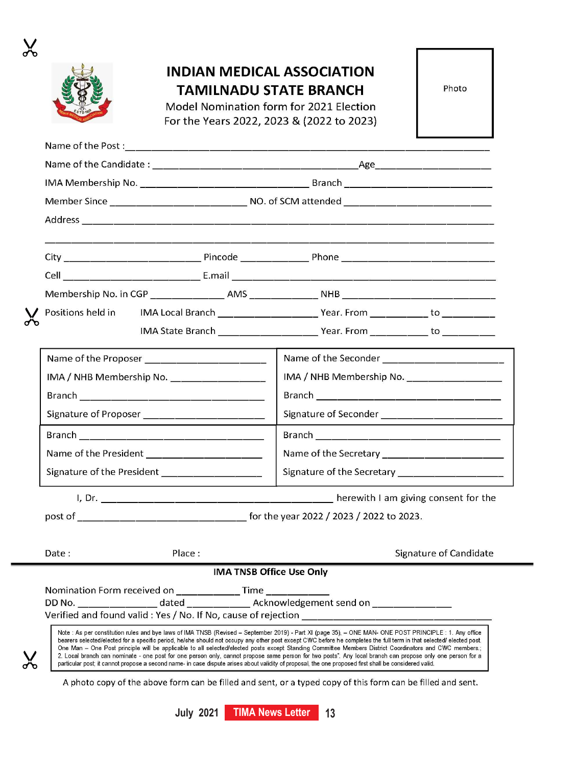

 $\chi$ 

## **INDIAN MEDICAL ASSOCIATION TAMILNADU STATE BRANCH**

Model Nomination form for 2021 Election For the Years 2022, 2023 & (2022 to 2023)

|  | Photo |  |
|--|-------|--|

| Positions held in                                               |        |                                 |                                                                                                                                                                                                                                                                                                                                                                                                                                                                                                                                                                                                                                                                                                                                                                                                                  |                                                |  |
|-----------------------------------------------------------------|--------|---------------------------------|------------------------------------------------------------------------------------------------------------------------------------------------------------------------------------------------------------------------------------------------------------------------------------------------------------------------------------------------------------------------------------------------------------------------------------------------------------------------------------------------------------------------------------------------------------------------------------------------------------------------------------------------------------------------------------------------------------------------------------------------------------------------------------------------------------------|------------------------------------------------|--|
|                                                                 |        |                                 |                                                                                                                                                                                                                                                                                                                                                                                                                                                                                                                                                                                                                                                                                                                                                                                                                  |                                                |  |
|                                                                 |        |                                 |                                                                                                                                                                                                                                                                                                                                                                                                                                                                                                                                                                                                                                                                                                                                                                                                                  |                                                |  |
| IMA / NHB Membership No. ______________________                 |        |                                 |                                                                                                                                                                                                                                                                                                                                                                                                                                                                                                                                                                                                                                                                                                                                                                                                                  | IMA / NHB Membership No. _____________________ |  |
|                                                                 |        |                                 |                                                                                                                                                                                                                                                                                                                                                                                                                                                                                                                                                                                                                                                                                                                                                                                                                  |                                                |  |
| Signature of Proposer ________________________                  |        |                                 |                                                                                                                                                                                                                                                                                                                                                                                                                                                                                                                                                                                                                                                                                                                                                                                                                  |                                                |  |
|                                                                 |        |                                 |                                                                                                                                                                                                                                                                                                                                                                                                                                                                                                                                                                                                                                                                                                                                                                                                                  |                                                |  |
| Name of the President ________________________                  |        |                                 |                                                                                                                                                                                                                                                                                                                                                                                                                                                                                                                                                                                                                                                                                                                                                                                                                  |                                                |  |
| Signature of the President _______________________              |        |                                 |                                                                                                                                                                                                                                                                                                                                                                                                                                                                                                                                                                                                                                                                                                                                                                                                                  |                                                |  |
|                                                                 |        |                                 |                                                                                                                                                                                                                                                                                                                                                                                                                                                                                                                                                                                                                                                                                                                                                                                                                  |                                                |  |
|                                                                 |        |                                 |                                                                                                                                                                                                                                                                                                                                                                                                                                                                                                                                                                                                                                                                                                                                                                                                                  |                                                |  |
| Date:                                                           | Place: |                                 |                                                                                                                                                                                                                                                                                                                                                                                                                                                                                                                                                                                                                                                                                                                                                                                                                  | Signature of Candidate                         |  |
|                                                                 |        | <b>IMA TNSB Office Use Only</b> |                                                                                                                                                                                                                                                                                                                                                                                                                                                                                                                                                                                                                                                                                                                                                                                                                  |                                                |  |
| Nomination Form received on ________________ Time _____________ |        |                                 |                                                                                                                                                                                                                                                                                                                                                                                                                                                                                                                                                                                                                                                                                                                                                                                                                  |                                                |  |
|                                                                 |        |                                 | DD No. ________________dated __________________Acknowledgement send on ________________                                                                                                                                                                                                                                                                                                                                                                                                                                                                                                                                                                                                                                                                                                                          |                                                |  |
|                                                                 |        |                                 | Verified and found valid: Yes / No. If No, cause of rejection __________________                                                                                                                                                                                                                                                                                                                                                                                                                                                                                                                                                                                                                                                                                                                                 |                                                |  |
|                                                                 |        |                                 | Note: As per constitution rules and bye laws of IMA TNSB (Revised - September 2019) - Part XI (page 35), - ONE MAN- ONE POST PRINCIPLE: 1. Any office<br>bearers selected/elected for a specific period, he/she should not occupy any other post except CWC before he completes the full term in that selected/ elected post.<br>One Man - One Post principle will be applicable to all selected/elected posts except Standing Committee Members District Coordinators and CWC members.;<br>2. Local branch can nominate - one post for one person only, cannot propose same person for two posts". Any local branch can propose only one person for a<br>particular post; it cannot propose a second name- in case dispute arises about validity of proposal, the one proposed first shall be considered valid. |                                                |  |

particular post, it cannot propose a second name- in case dispute arises about validity of proposal, the one proposed first shall be considered valid.

A photo copy of the above form can be filled and sent, or a typed copy of this form can be filled and sent.